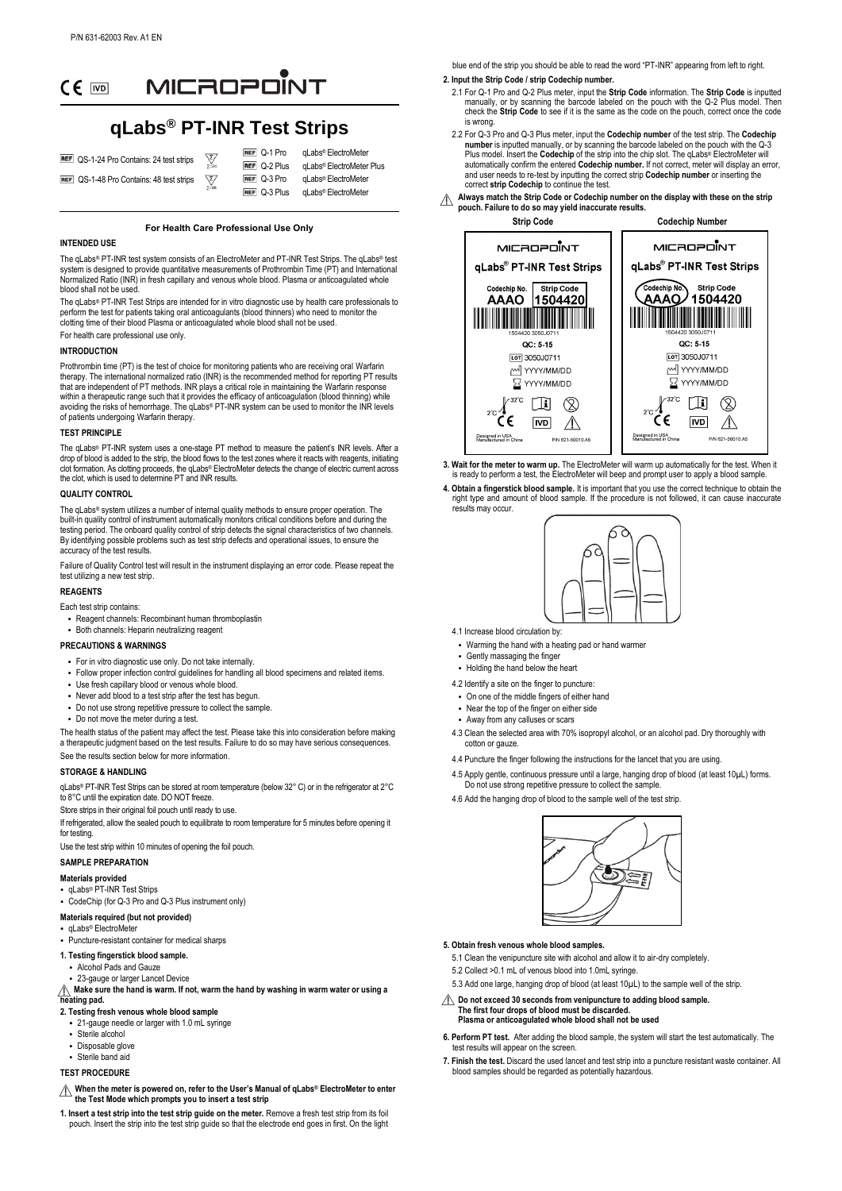

# **qLabs® PT-INR Test Strips**

| REF QS-1-24 Pro Contains: 24 test strips        |                                   | REF 0-1 Pro         | qLabs <sup>®</sup> ElectroMeter      |
|-------------------------------------------------|-----------------------------------|---------------------|--------------------------------------|
|                                                 | $\frac{\sqrt{2}}{\sum_{2}^{2}24}$ | <b>REF</b> Q-2 Plus | gLabs <sup>®</sup> ElectroMeter Plus |
| <b>REF</b> QS-1-48 Pro Contains: 48 test strips | $\frac{\sum}{2}$                  | REF Q-3 Pro         | aLabs <sup>®</sup> ElectroMeter      |
|                                                 |                                   | REF Q-3 Plus        | qLabs <sup>®</sup> ElectroMeter      |

#### **For Health Care Professional Use Only**

# **INTENDED USE**

The qLabs® PT-INR test system consists of an ElectroMeter and PT-INR Test Strips. The qLabs® test system is designed to provide quantitative measurements of Prothrombin Time (PT) and International Normalized Ratio (INR) in fresh capillary and venous whole blood. Plasma or anticoagulated whole blood shall not be used

The qLabs® PT-INR Test Strips are intended for in vitro diagnostic use by health care professionals to perform the test for patients taking oral anticoagulants (blood thinners) who need to monitor the clotting time of their blood Plasma or anticoagulated whole blood shall not be used. For health care professional use only.

#### **INTRODUCTION**

Prothrombin time (PT) is the test of choice for monitoring patients who are receiving oral Warfarin therapy. The international normalized ratio (INR) is the recommended method for reporting PT results that are independent of PT methods. INR plays a critical role in maintaining the Warfarin response within a therapeutic range such that it provides the efficacy of anticoagulation (blood thinning) while avoiding the risks of hemorrhage. The qLabs® PT-INR system can be used to monitor the INR levels of patients undergoing Warfarin therapy.

#### **TEST PRINCIPLE**

The qLabs® PT-INR system uses a one-stage PT method to measure the patient's INR levels. After a drop of blood is added to the strip, the blood flows to the test zones where it reacts with reagents, initiating clot formation. As clotting proceeds, the qLabs® ElectroMeter detects the change of electric current across the clot, which is used to determine PT and INR results.

#### **QUALITY CONTROL**

The qLabs® system utilizes a number of internal quality methods to ensure proper operation. The<br>built-in quality control of instrument automatically monitors critical conditions before and during the testing period. The onboard quality control of strip detects the signal characteristics of two channels. By identifying possible problems such as test strip defects and operational issues, to ensure the accuracy of the test results.

Failure of Quality Control test will result in the instrument displaying an error code. Please repeat the test utilizing a new test strip.

#### **REAGENTS**

#### Each test strip contains:

- Reagent channels: Recombinant human thromboplastin
- Both channels: Heparin neutralizing reagent

#### **PRECAUTIONS & WARNINGS**

- For in vitro diagnostic use only. Do not take internally.
- Follow proper infection control guidelines for handling all blood specimens and related items.
- Use fresh capillary blood or venous whole blood.
- Never add blood to a test strip after the test has begun • Do not use strong repetitive pressure to collect the sample.
- Do not move the meter during a test.
- 

The health status of the patient may affect the test. Please take this into consideration before making a therapeutic judgment based on the test results. Failure to do so may have serious consequences. See the results section below for more information.

#### **STORAGE & HANDLING**

qLabs® PT-INR Test Strips can be stored at room temperature (below 32° C) or in the refrigerator at 2° C to 8° C until the expiration date. DO NOT freeze.

Store strips in their original foil pouch until ready to use.

If refrigerated, allow the sealed pouch to equilibrate to room temperature for 5 minutes before opening it for testing

Use the test strip within 10 minutes of opening the foil pouch.

#### **SAMPLE PREPARATION**

#### **Materials provided**

- qLabs® PT-INR Test Strips
- CodeChip (for Q-3 Pro and Q-3 Plus instrument only)

#### **Materials required (but not provided)**

#### • aLabs<sup>®</sup> ElectroMete

• Puncture-resistant container for medical sharps

#### **1. Testing fingerstick blood sample.**

- Alcohol Pads and Gauze
- 23-gauge or larger Lancet Device
- **A** Make sure the hand is warm. If not, warm the hand by washing in warm water or using a<br>besting nad **heating pad.**

# **2. Testing fresh venous whole blood sample**

- **•** 21-gauge needle or larger with 1.0 mL syringe
- Sterile alcohol
- Disposable glove
- Sterile band aid

# **TEST PROCEDURE**

- **When the meter is powered on, refer to the User's Manual of qLabs® ElectroMeter to enter the Test Mode which prompts you to insert a test strip**
- **1. Insert a test strip into the test strip guide on the meter.** Remove a fresh test strip from its foil pouch. Insert the strip into the test strip guide so that the electrode end goes in first. On the light

blue end of the strip you should be able to read the word "PT-INR" appearing from left to right. **2. Input the Strip Code / strip Codechip number.**

- 2.1 For Q-1 Pro and Q-2 Plus meter, input the **Strip Code** information. The **Strip Code** is inputted manually, or by scanning the barcode labeled on the pouch with the Q-2 Plus model. Then check the **Strip Code** to see if it is the same as the code on the pouch, correct once the code is wrong.
- 2.2 For Q-3 Pro and Q-3 Plus meter, input the **Codechip number** of the test strip. The **Codechip number** is inputted manually, or by scanning the barcode labeled on the pouch with the Q-3 Plus model. Insert the **Codechip** of the strip into the chip slot. The qLabs® ElectroMeter will automatically confirm the entered **Codechip number.** If not correct, meter will display an error, and user needs to re-test by inputting the correct strip **Codechip number** or inserting the correct **strip Codechip** to continue the test.
- **Always match the Strip Code or Codechip number on the display with these on the strip**  ∧ **pouch. Failure to do so may yield inaccurate results.**



**3. Wait for the meter to warm up.** The ElectroMeter will warm up automatically for the test. When it is ready to perform a test, the ElectroMeter will beep and prompt user to apply a blood sample.

**4. Obtain a fingerstick blood sample.** It is important that you use the correct technique to obtain the right type and amount of blood sample. If the procedure is not followed, it can cause inaccurate results may occur.



- 4.1 Increase blood circulation by:
- Warming the hand with a heating pad or hand warmer
- Gently massaging the finger
- Holding the hand below the heart
- 4.2 Identify a site on the finger to puncture:
- On one of the middle fingers of either hand
- Near the top of the finger on either side
- Away from any calluses or scars
- 4.3 Clean the selected area with 70% isopropyl alcohol, or an alcohol pad. Dry thoroughly with cotton or gauze.
- 4.4 Puncture the finger following the instructions for the lancet that you are using.
- 4.5 Apply gentle, continuous pressure until a large, hanging drop of blood (at least 10µL) forms.<br>Do not use strong repetitive pressure to collect the sample.
- 4.6 Add the hanging drop of blood to the sample well of the test strip.



#### **5. Obtain fresh venous whole blood samples.**

- 5.1 Clean the venipuncture site with alcohol and allow it to air-dry completely.
- 5.2 Collect >0.1 mL of venous blood into 1.0mL syringe.
- 5.3 Add one large, hanging drop of blood (at least 10µL) to the sample well of the strip.
- **Do not exceed 30 seconds from venipuncture to adding blood sample. The first four drops of blood must be discarded. Plasma or anticoagulated whole blood shall not be used**
- **6. Perform PT test.** After adding the blood sample, the system will start the test automatically. The test results will appear on the screen
- **7. Finish the test.** Discard the used lancet and test strip into a puncture resistant waste container. All blood samples should be regarded as potentially hazardous.